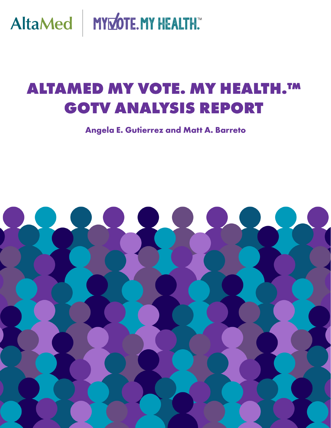AltaMed | MYMOTE.MY HEALTH.

# **ALTAMED MY VOTE. MY HEALTH.TM GOTV ANALYSIS REPORT**

Angela E. Gutierrez and Matt A. Barreto

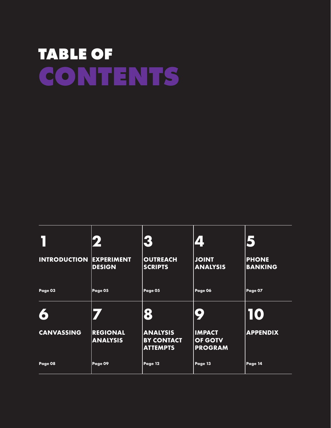# **TABLE OF CONTENTS**

|                     | 2                                  | 3                                                       | 4                                          | 5                              |
|---------------------|------------------------------------|---------------------------------------------------------|--------------------------------------------|--------------------------------|
| <b>INTRODUCTION</b> | <b>EXPERIMENT</b><br><b>DESIGN</b> | <b>OUTREACH</b><br><b>SCRIPTS</b>                       | <b>JOINT</b><br><b>ANALYSIS</b>            | <b>PHONE</b><br><b>BANKING</b> |
| Page 03             | Page 05                            | Page 05                                                 | Page 06                                    | Page 07                        |
| 6                   |                                    | 8                                                       | 9                                          | 10                             |
| <b>CANVASSING</b>   | <b>REGIONAL</b><br><b>ANALYSIS</b> | <b>ANALYSIS</b><br><b>BY CONTACT</b><br><b>ATTEMPTS</b> | <b>IMPACT</b><br>OF GOTV<br><b>PROGRAM</b> | <b>APPENDIX</b>                |
| Page 08             | Page 09                            | Page 12                                                 | Page 13                                    | Page 14                        |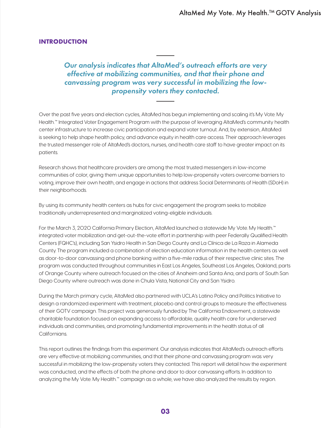# <span id="page-2-0"></span>**INTRODUCTION**

# *Our analysis indicates that AltaMed's outreach efforts are very effective at mobilizing communities, and that their phone and canvassing program was very successful in mobilizing the lowpropensity voters they contacted.*

Over the past five years and election cycles, AltaMed has begun implementing and scaling it's My Vote. My Health.™ Integrated Voter Engagement Program with the purpose of leveraging AltaMed's community health center infrastructure to increase civic participation and expand voter turnout. And, by extension, AltaMed is seeking to help shape health policy, and advance equity in health care access. Their approach leverages the trusted messenger role of AltaMed's doctors, nurses, and health care staff to have greater impact on its patients.

Research shows that healthcare providers are among the most trusted messengers in low-income communities of color, giving them unique opportunities to help low-propensity voters overcome barriers to voting, improve their own health, and engage in actions that address Social Determinants of Health (SDoH) in their neighborhoods.

By using its community health centers as hubs for civic engagement the program seeks to mobilize traditionally underrepresented and marginalized voting-eligible individuals.

For the March 3, 2020 California Primary Election, AltaMed launched a statewide My Vote. My Health.™ integrated voter mobilization and get-out-the-vote effort in partnership with peer Federally Qualified Health Centers (FQHC's), including San Ysidro Health in San Diego County and La Clínica de La Raza in Alameda County. The program included a combination of election education information in the health centers as well as door-to-door canvassing and phone banking within a five-mile radius of their respective clinic sites. The program was conducted throughout communities in East Los Angeles, Southeast Los Angeles, Oakland, parts of Orange County where outreach focused on the cities of Anaheim and Santa Ana, and parts of South San Diego County where outreach was done in Chula Vista, National City and San Ysidro.

During the March primary cycle, AltaMed also partnered with UCLA's Latino Policy and Politics Initiative to design a randomized experiment with treatment, placebo and control groups to measure the effectiveness of their GOTV campaign. This project was generously funded by The California Endowment, a statewide charitable foundation focused on expanding access to affordable, quality health care for underserved individuals and communities, and promoting fundamental improvements in the health status of all Californians.

This report outlines the findings from this experiment. Our analysis indicates that AltaMed's outreach efforts are very effective at mobilizing communities, and that their phone and canvassing program was very successful in mobilizing the low-propensity voters they contacted. This report will detail how the experiment was conducted, and the effects of both the phone and door to door canvassing efforts. In addition to analyzing the My Vote. My Health.™ campaign as a whole, we have also analyzed the results by region.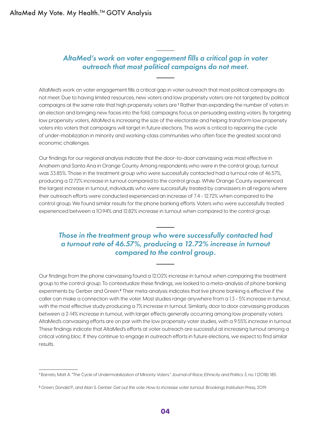# *AltaMed's work on voter engagement fills a critical gap in voter outreach that most political campaigns do not meet.*

AltaMed's work on voter engagement fills a critical gap in voter outreach that most political campaigns do not meet. Due to having limited resources, new voters and low propensity voters are not targeted by political campaigns at the same rate that high propensity voters are.<sup>1</sup> Rather than expanding the number of voters in an election and bringing new faces into the fold, campaigns focus on persuading existing voters. By targeting low propensity voters, AltaMed is increasing the size of the electorate and helping transform low propensity voters into voters that campaigns will target in future elections. This work is critical to repairing the cycle of under-mobilization in minority and working-class communities who often face the greatest social and economic challenges.

Our findings for our regional analysis indicate that the door-to-door canvassing was most effective in Anaheim and Santa Ana in Orange County. Among respondents who were in the control group, turnout was 33.85%. Those in the treatment group who were successfully contacted had a turnout rate of 46.57%, producing a 12.72% increase in turnout compared to the control group. While Orange County experienced the largest increase in turnout, individuals who were successfully treated by canvassers in all regions where their outreach efforts were conducted experienced an increase of 7.4 - 12.72% when compared to the control group. We found similar results for the phone banking efforts. Voters who were successfully treated experienced between a 10.94% and 12.82% increase in turnout when compared to the control group.

# *Those in the treatment group who were successfully contacted had a turnout rate of 46.57%, producing a 12.72% increase in turnout compared to the control group.*

Our findings from the phone canvassing found a 12.02% increase in turnout when comparing the treatment group to the control group. To contextualize these findings, we looked to a meta-analysis of phone banking experiments by Gerber and Green.<sup>2</sup> Their meta-analysis indicates that live phone banking is effective if the caller can make a connection with the voter. Most studies range anywhere from a 1.3 - 5% increase in turnout, with the most effective study producing a 7% increase in turnout. Similarly, door to door canvassing produces between a 2-14% increase in turnout, with larger effects generally occurring among low propensity voters. AltaMed's canvassing efforts are on par with the low propensity voter studies, with a 9.55% increase in turnout. These findings indicate that AltaMed's efforts at voter outreach are successful at increasing turnout among a critical voting bloc. If they continue to engage in outreach efforts in future elections, we expect to find similar results.

<sup>1</sup>Barreto, Matt A. "The Cycle of Undermobilization of Minority Voters." *Journal of Race, Ethnicity and Politics 3*, no. 1 (2018): 185.

<sup>2</sup> Green, Donald P., and Alan S. Gerber. *Get out the vote: How to increase voter turnout*. Brookings Institution Press, 2019.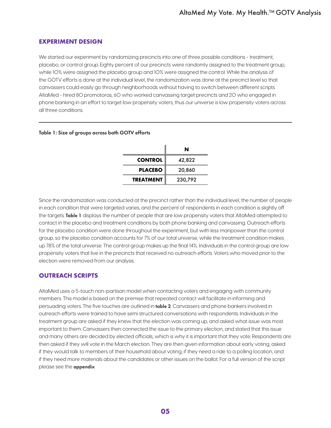# <span id="page-4-0"></span>**EXPERIMENT DESIGN**

We started our experiment by randomizing precincts into one of three possible conditions - treatment, placebo, or control group. Eighty percent of our precincts were randomly assigned to the treatment group, while 10% were assigned the placebo group and 10% were assigned the control. While the analysis of the GOTV efforts is done at the individual level, the randomization was done at the precinct level so that canvassers could easily go through neighborhoods without having to switch between different scripts. AltaMed - hired 80 promotoras, 60 who worked canvassing target precincts and 20 who engaged in phone banking in an effort to target low propensity voters, thus our universe is low propensity voters across all three conditions.

# Table 1: Size of groups across both GOTV efforts

|                  | N       |
|------------------|---------|
| <b>CONTROL</b>   | 42,822  |
| <b>PLACEBO</b>   | 20,860  |
| <b>TREATMENT</b> | 230,792 |

Since the randomization was conducted at the precinct rather than the individual level, the number of people in each condition that were targeted varies, and the percent of respondents in each condition is slightly off the targets. Table 1 displays the number of people that are low propensity voters that AltaMed attempted to contact in the placebo and treatment conditions by both phone banking and canvassing. Outreach efforts for the placebo condition were done throughout the experiment, but with less manpower than the control group, so the placebo condition accounts for 7% of our total universe, while the treatment condition makes up 78% of the total universe. The control group makes up the final 14%. Individuals in the control group are low propensity voters that live in the precincts that received no outreach efforts. Voters who moved prior to the election were removed from our analysis.

# **OUTREACH SCRIPTS**

AltaMed uses a 5-touch non-partisan model when contacting voters and engaging with community members. This model is based on the premise that repeated contact will facilitate in informing and persuading voters. The five touches are outlined in table 2. Canvassers and phone bankers involved in outreach efforts were trained to have semi structured conversations with respondents. Individuals in the treatment group are asked if they knew that the election was coming up, and asked what issue was most important to them. Canvassers then connected the issue to the primary election, and stated that this issue and many others are decided by elected officials, which is why it is important that they vote. Respondents are then asked if they will vote in the March election. They are then given information about early voting, asked if they would talk to members of their household about voting, if they need a ride to a polling location, and if they need more materials about the candidates or other issues on the ballot. For a full version of the script please see the [appendix](#page-13-0)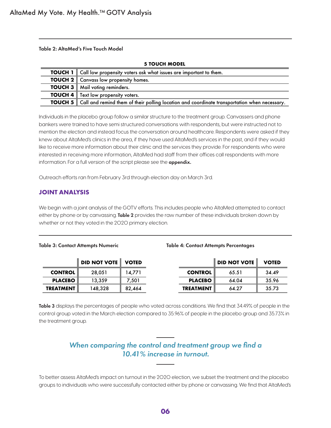<span id="page-5-0"></span>Table 2: AltaMed's Five Touch Model

| <b>5 TOUCH MODEL</b> |                                                                                                             |  |  |  |  |
|----------------------|-------------------------------------------------------------------------------------------------------------|--|--|--|--|
|                      | <b>TOUCH 1</b> Call low propensity voters ask what issues are important to them.                            |  |  |  |  |
|                      | <b>TOUCH 2</b> Canvass low propensity homes.                                                                |  |  |  |  |
|                      | <b>TOUCH 3</b>   Mail voting reminders.                                                                     |  |  |  |  |
|                      | <b>TOUCH 4</b> Text low propensity voters.                                                                  |  |  |  |  |
|                      | <b>TOUCH 5</b> Call and remind them of their polling location and coordinate transportation when necessary. |  |  |  |  |

Individuals in the placebo group follow a similar structure to the treatment group. Canvassers and phone bankers were trained to have semi structured conversations with respondents, but were instructed not to mention the election and instead focus the conversation around healthcare. Respondents were asked if they knew about AltaMed's clinics in the area, if they have used AltaMed's services in the past, and if they would like to receive more information about their clinic and the services they provide. For respondents who were interested in receiving more information, AltaMed had staff from their offices call respondents with more information. For a full version of the script please see the **[appendix.](#page-13-0)** 

Outreach efforts ran from February 3rd through election day on March 3rd.

# **JOINT ANALYSIS**

We begin with a joint analysis of the GOTV efforts. This includes people who AltaMed attempted to contact either by phone or by canvassing. Table 2 provides the raw number of these individuals broken down by whether or not they voted in the 2020 primary election.

#### Table 3: Contact Attempts Numeric Table 4: Contact Attempts Percentages

|                  | <b>DID NOT VOTE VOTED</b> |        |                  | <b>DID NOT VOTE</b> | <b>VOTED</b> |
|------------------|---------------------------|--------|------------------|---------------------|--------------|
| <b>CONTROL</b>   | 28,051                    | 14.771 | <b>CONTROL</b>   | 65.51               | 34.49        |
| <b>PLACEBO</b>   | 13.359                    | 7.501  | <b>PLACEBO</b>   | 64.04               | 35.96        |
| <b>TREATMENT</b> | 148,328                   | 82,464 | <b>TREATMENT</b> | 64.27               | 35.73        |

Table 3 displays the percentages of people who voted across conditions. We find that 34.49% of people in the control group voted in the March election compared to 35.96% of people in the placebo group and 35.73% in the treatment group.

# *When comparing the control and treatment group we find a 10.41% increase in turnout.*

To better assess AltaMed's impact on turnout in the 2020 election, we subset the treatment and the placebo groups to individuals who were successfully contacted either by phone or canvassing. We find that AltaMed's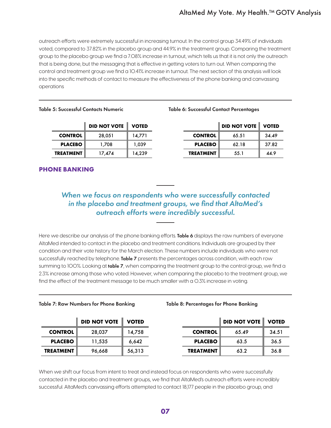<span id="page-6-0"></span>outreach efforts were extremely successful in increasing turnout. In the control group 34.49% of individuals voted, compared to 37.82% in the placebo group and 44.9% in the treatment group. Comparing the treatment group to the placebo group we find a 7.08% increase in turnout, which tells us that it is not only the outreach that is being done, but the messaging that is effective in getting voters to turn out. When comparing the control and treatment group we find a 10.41% increase in turnout. The next section of this analysis will look into the specific methods of contact to measure the effectiveness of the phone banking and canvassing operations

#### Table 5: Successful Contacts Numeric Table 6: Successful Contact Percentages

# **DID NOT VOTE I** VOTED **CONTROL** 28,051 14,771 **CONTROL** 65.51 34.49 **PLACEBO** 1,708 1,039 **PLACEBO** 62.18 37.82

|                | <b>DID NOT VOTE</b> | <b>VOTED</b> |                  | <b>DID NOT VOTE   VOTED</b> |       |
|----------------|---------------------|--------------|------------------|-----------------------------|-------|
| <b>CONTROL</b> | 28,051              | 14,771       | <b>CONTROL</b>   | 65.51                       | 34.49 |
| <b>PLACEBO</b> | 1.708               | 1,039        | <b>PLACEBO</b>   | 62.18                       | 37.82 |
| TREATMENT      | 17.474              | 14.239       | <b>TREATMENT</b> | 55.1                        | 44.9  |

# **PHONE BANKING**

# *When we focus on respondents who were successfully contacted in the placebo and treatment groups, we find that AltaMed's outreach efforts were incredibly successful.*

Here we describe our analysis of the phone banking efforts. Table 6 displays the raw numbers of everyone AltaMed intended to contact in the placebo and treatment conditions. Individuals are grouped by their condition and their vote history for the March election. These numbers include individuals who were not successfully reached by telephone. Table 7 presents the percentages across condition, with each row summing to 100%. Looking at table 7, when comparing the treatment group to the control group, we find a 2.3% increase among those who voted. However, when comparing the placebo to the treatment group, we find the effect of the treatment message to be much smaller with a 0.3% increase in voting.

#### Table 7: Raw Numbers for Phone Banking Table 8: Percentages for Phone Banking

|                  | <b>DID NOT VOTE   VOTED</b> |        |                  | <b>DID NOT VOTE</b> | <b>VOTED</b> |
|------------------|-----------------------------|--------|------------------|---------------------|--------------|
| <b>CONTROL</b>   | 28,037                      | 14,758 | <b>CONTROL</b>   | 65.49               | 34.51        |
| <b>PLACEBO</b>   | 11,535                      | 6.642  | <b>PLACEBO</b>   | 63.5                | 36.5         |
| <b>TREATMENT</b> | 96,668                      | 56,313 | <b>TREATMENT</b> | 63.2                | 36.8         |

When we shift our focus from intent to treat and instead focus on respondents who were successfully contacted in the placebo and treatment groups, we find that AltaMed's outreach efforts were incredibly successful. AltaMed's canvassing efforts attempted to contact 18,177 people in the placebo group, and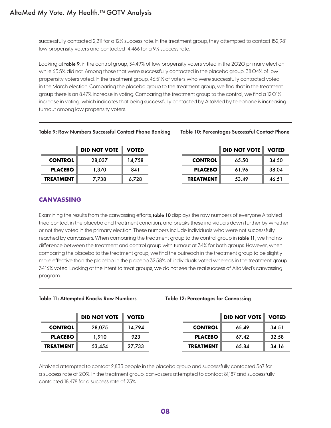<span id="page-7-0"></span>successfully contacted 2,211 for a 12% success rate. In the treatment group, they attempted to contact 152,981 low propensity voters and contacted 14,466 for a 9% success rate.

Looking at table 9, in the control group, 34.49% of low propensity voters voted in the 2020 primary election while 65.5% did not. Among those that were successfully contacted in the placebo group, 38.04% of low propensity voters voted. In the treatment group, 46.51% of voters who were successfully contacted voted in the March election. Comparing the placebo group to the treatment group, we find that in the treatment group there is an 8.47% increase in voting. Comparing the treatment group to the control, we find a 12.01% increase in voting, which indicates that being successfully contacted by AltaMed by telephone is increasing turnout among low propensity voters.

### Table 9: Raw Numbers Successful Contact Phone Banking Table 10: Percentages Successful Contact Phone

|                  | <b>DID NOT VOTE</b> | <b>VOTED</b> |                  | <b>DID NOT VOTE</b> | <b>VOTED</b> |
|------------------|---------------------|--------------|------------------|---------------------|--------------|
| <b>CONTROL</b>   | 28,037              | 14.758       | <b>CONTROL</b>   | 65.50               | 34.50        |
| <b>PLACEBO</b>   | 1.370               | 841          | <b>PLACEBO</b>   | 61.96               | 38.04        |
| <b>TREATMENT</b> | 7.738               | 6.728        | <b>TREATMENT</b> | 53.49               | 46.51        |

# **CANVASSING**

Examining the results from the canvassing efforts, table 10 displays the raw numbers of everyone AltaMed tried contact in the placebo and treatment condition, and breaks these individuals down further by whether or not they voted in the primary election. These numbers include individuals who were not successfully reached by canvassers. When comparing the treatment group to the control group in table 11, we find no difference between the treatment and control group with turnout at 34% for both groups. However, when comparing the placebo to the treatment group, we find the outreach in the treatment group to be slightly more effective than the placebo. In the placebo 32.58% of individuals voted whereas in the treatment group 34.16% voted. Looking at the intent to treat groups, we do not see the real success of AltaMed's canvassing program.

Table 12: Percentages for Canvassing

|                  | <b>DID NOT VOTE</b> | <b>VOTED</b> |                  | <b>DID NOT VOTE</b> | <b>VOTED</b> |
|------------------|---------------------|--------------|------------------|---------------------|--------------|
| <b>CONTROL</b>   | 28,075              | 14.794       | <b>CONTROL</b>   | 65.49               | 34.51        |
| <b>PLACEBO</b>   | 1.910               | 923          | <b>PLACEBO</b>   | 67.42               | 32.58        |
| <b>TREATMENT</b> | 53,454              | 27.733       | <b>TREATMENT</b> | 65.84               | 34.16        |

AltaMed attempted to contact 2,833 people in the placebo group and successfully contacted 567 for a success rate of 20%. In the treatment group, canvassers attempted to contact 81,187 and successfully contacted 18,478 for a success rate of 23%.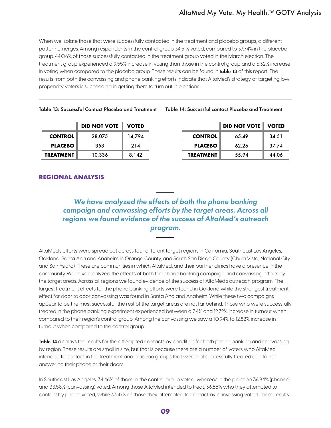<span id="page-8-0"></span>When we isolate those that were successfully contacted in the treatment and placebo groups, a different pattern emerges. Among respondents in the control group 34.51% voted, compared to 37.74% in the placebo group. 44.06% of those successfully contacted in the treatment group voted in the March election. The treatment group experienced a 9.55% increase in voting than those in the control group and a 6.32% increase in voting when compared to the placebo group. These results can be found in table 13 of this report. The results from both the canvassing and phone banking efforts indicate that AltaMed's strategy of targeting low propensity voters is succeeding in getting them to turn out in elections.

|                  | <b>DID NOT VOTE</b> | <b>VOTED</b> |                  | <b>DID NOT VOTE VOTED</b> |       |
|------------------|---------------------|--------------|------------------|---------------------------|-------|
| <b>CONTROL</b>   | 28,075              | 14.794       | <b>CONTROL</b>   | 65.49                     | 34.51 |
| <b>PLACEBO</b>   | 353                 | 214          | <b>PLACEBO</b>   | 62.26                     | 37.74 |
| <b>TREATMENT</b> | 10,336              | 8.142        | <b>TREATMENT</b> | 55.94                     | 44.06 |

Table 14: Successful contact Placebo and Treatment

|                | <b>DID NOT VOTE</b> | <b>VOTED</b> |                  | <b>DID NOT VOTE VOTED</b> |       |
|----------------|---------------------|--------------|------------------|---------------------------|-------|
| CONTROL:       | 28,075              | 14.794       | <b>CONTROL</b>   | 65.49                     | 34.51 |
| <b>PLACEBO</b> | 353                 | 214          | <b>PLACEBO</b>   | 62.26                     | 37.74 |
| EATMENT        | 10,336              | 8,142        | <b>TREATMENT</b> | 55.94                     | 44.06 |

# **REGIONAL ANALYSIS**

# *We have analyzed the effects of both the phone banking campaign and canvassing efforts by the target areas. Across all regions we found evidence of the success of AltaMed's outreach program.*

AltaMed's efforts were spread out across four different target regions in California; Southeast Los Angeles, Oakland, Santa Ana and Anaheim in Orange County, and South San Diego County (Chula Vista, National City and San Ysidro). These are communities in which AltaMed, and their partner clinics have a presence in the community. We have analyzed the effects of both the phone banking campaign and canvassing efforts by the target areas. Across all regions we found evidence of the success of AltaMed's outreach program. The largest treatment effects for the phone banking efforts were found in Oakland while the strongest treatment effect for door to door canvassing was found in Santa Ana and Anaheim. While these two campaigns appear to be the most successful, the rest of the target areas are not far behind. Those who were successfully treated in the phone banking experiment experienced between a 7.4% and 12.72% increase in turnout when compared to their region's control group. Among the canvassing we saw a 10.94% to 12.82% increase in turnout when compared to the control group.

Table 14 displays the results for the attempted contacts by condition for both phone banking and canvassing by region. These results are small in size, but that is because there are a number of voters who AltaMed intended to contact in the treatment and placebo groups that were not successfully treated due to not answering their phone or their doors.

In Southeast Los Angeles, 34.46% of those in the control group voted, whereas in the placebo 36.84% (phones) and 33.58% (canvassing) voted. Among those AltaMed intended to treat, 36.55% who they attempted to contact by phone voted, while 33.47% of those they attempted to contact by canvassing voted. These results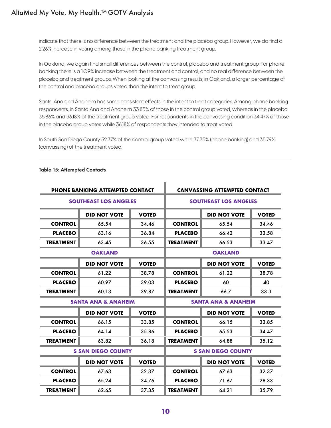# AltaMed My Vote. My Health.™ GOTV Analysis

indicate that there is no difference between the treatment and the placebo group. However, we do find a 2.26% increase in voting among those in the phone banking treatment group.

In Oakland, we again find small differences between the control, placebo and treatment group. For phone banking there is a 1.09% increase between the treatment and control, and no real difference between the placebo and treatment groups. When looking at the canvassing results, in Oakland, a larger percentage of the control and placebo groups voted than the intent to treat group.

Santa Ana and Anaheim has some consistent effects in the intent to treat categories. Among phone banking respondents, in Santa Ana and Anaheim 33.85% of those in the control group voted, whereas in the placebo 35.86% and 36.18% of the treatment group voted. For respondents in the canvassing condition 34.47% of those in the placebo group votes while 36.18% of respondents they intended to treat voted.

In South San Diego County 32.37% of the control group voted while 37.35% (phone banking) and 35.79% (canvassing) of the treatment voted.

| <b>PHONE BANKING ATTEMPTED CONTACT</b> |                                | <b>CANVASSING ATTEMPTED CONTACT</b> |                  |                                |              |  |
|----------------------------------------|--------------------------------|-------------------------------------|------------------|--------------------------------|--------------|--|
| <b>SOUTHEAST LOS ANGELES</b>           |                                | <b>SOUTHEAST LOS ANGELES</b>        |                  |                                |              |  |
|                                        | <b>DID NOT VOTE</b>            | <b>VOTED</b>                        |                  | <b>DID NOT VOTE</b>            | <b>VOTED</b> |  |
| <b>CONTROL</b>                         | 65.54                          | 34.46                               | <b>CONTROL</b>   | 65.54                          | 34.46        |  |
| <b>PLACEBO</b>                         | 63.16                          | 36.84                               | <b>PLACEBO</b>   | 66.42                          | 33.58        |  |
| <b>TREATMENT</b>                       | 63.45                          | 36.55                               | <b>TREATMENT</b> | 66.53                          | 33.47        |  |
|                                        | <b>OAKLAND</b>                 |                                     |                  | <b>OAKLAND</b>                 |              |  |
|                                        | <b>DID NOT VOTE</b>            | <b>VOTED</b>                        |                  | <b>DID NOT VOTE</b>            | <b>VOTED</b> |  |
| <b>CONTROL</b>                         | 61.22                          | 38.78                               | <b>CONTROL</b>   | 61.22                          | 38.78        |  |
| <b>PLACEBO</b>                         | 60.97                          | 39.03                               | <b>PLACEBO</b>   | 60                             | 40           |  |
| <b>TREATMENT</b>                       | 60.13                          | 39.87                               | <b>TREATMENT</b> | 66.7                           | 33.3         |  |
|                                        | <b>SANTA ANA &amp; ANAHEIM</b> |                                     |                  | <b>SANTA ANA &amp; ANAHEIM</b> |              |  |
|                                        | <b>DID NOT VOTE</b>            | <b>VOTED</b>                        |                  | <b>DID NOT VOTE</b>            | <b>VOTED</b> |  |
| <b>CONTROL</b>                         | 66.15                          | 33.85                               | <b>CONTROL</b>   | 66.15                          | 33.85        |  |
| <b>PLACEBO</b>                         | 64.14                          | 35.86                               | <b>PLACEBO</b>   | 65.53                          | 34.47        |  |
| <b>TREATMENT</b>                       | 63.82                          | 36.18                               | <b>TREATMENT</b> | 64.88                          | 35.12        |  |
|                                        | <b>S SAN DIEGO COUNTY</b>      |                                     |                  | <b>S SAN DIEGO COUNTY</b>      |              |  |
|                                        | <b>DID NOT VOTE</b>            | <b>VOTED</b>                        |                  | <b>DID NOT VOTE</b>            | <b>VOTED</b> |  |
| <b>CONTROL</b>                         | 67.63                          | 32.37                               | <b>CONTROL</b>   | 67.63                          | 32.37        |  |
| <b>PLACEBO</b>                         | 65.24                          | 34.76                               | <b>PLACEBO</b>   | 71.67                          | 28.33        |  |
| <b>TREATMENT</b>                       | 62.65                          | 37.35                               | <b>TREATMENT</b> | 64.21                          | 35.79        |  |

### Table 15: Attempted Contacts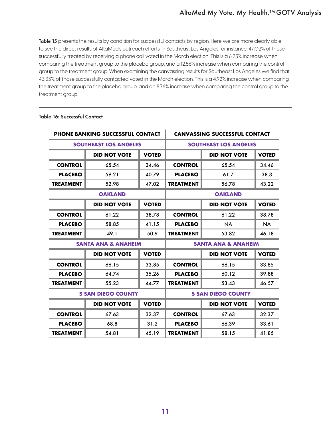Table 15 presents the results by condition for successful contacts by region. Here we are more clearly able to see the direct results of AltaMed's outreach efforts. In Southeast Los Angeles for instance, 47.02% of those successfully treated by receiving a phone call voted in the March election. This is a 6.23% increase when comparing the treatment group to the placebo group, and a 12.56% increase when comparing the control group to the treatment group. When examining the canvassing results for Southeast Los Angeles we find that 43.33% of those successfully contacted voted in the March election. This is a 4.92% increase when comparing the treatment group to the placebo group, and an 8.76% increase when comparing the control group to the treatment group.

|                           | <b>PHONE BANKING SUCCESSFUL CONTACT</b> |              |                                | <b>CANVASSING SUCCESSFUL CONTACT</b> |              |  |
|---------------------------|-----------------------------------------|--------------|--------------------------------|--------------------------------------|--------------|--|
|                           | <b>SOUTHEAST LOS ANGELES</b>            |              | <b>SOUTHEAST LOS ANGELES</b>   |                                      |              |  |
|                           | <b>DID NOT VOTE</b>                     | <b>VOTED</b> |                                | <b>DID NOT VOTE</b>                  | <b>VOTED</b> |  |
| <b>CONTROL</b>            | 65.54                                   | 34.46        | <b>CONTROL</b>                 | 65.54                                | 34.46        |  |
| <b>PLACEBO</b>            | 59.21                                   | 40.79        | <b>PLACEBO</b>                 | 61.7                                 | 38.3         |  |
| <b>TREATMENT</b>          | 52.98                                   | 47.02        | <b>TREATMENT</b>               | 56.78                                | 43.22        |  |
|                           | <b>OAKLAND</b>                          |              | <b>OAKLAND</b>                 |                                      |              |  |
|                           | <b>DID NOT VOTE</b>                     | <b>VOTED</b> |                                | <b>DID NOT VOTE</b>                  | <b>VOTED</b> |  |
| <b>CONTROL</b>            | 61.22                                   | 38.78        | <b>CONTROL</b>                 | 61.22                                | 38.78        |  |
| <b>PLACEBO</b>            | 58.85                                   | 41.15        | <b>PLACEBO</b>                 | <b>NA</b>                            | <b>NA</b>    |  |
| <b>TREATMENT</b>          | 49.1                                    | 50.9         | <b>TREATMENT</b>               | 53.82                                | 46.18        |  |
|                           | <b>SANTA ANA &amp; ANAHEIM</b>          |              | <b>SANTA ANA &amp; ANAHEIM</b> |                                      |              |  |
|                           | <b>DID NOT VOTE</b>                     | <b>VOTED</b> |                                | <b>DID NOT VOTE</b>                  | <b>VOTED</b> |  |
| <b>CONTROL</b>            | 66.15                                   | 33.85        | <b>CONTROL</b>                 | 66.15                                | 33.85        |  |
| <b>PLACEBO</b>            | 64.74                                   | 35.26        | <b>PLACEBO</b>                 | 60.12                                | 39.88        |  |
| <b>TREATMENT</b>          | 55.23                                   | 44.77        | <b>TREATMENT</b>               | 53.43                                | 46.57        |  |
| <b>S SAN DIEGO COUNTY</b> |                                         |              | <b>S SAN DIEGO COUNTY</b>      |                                      |              |  |
|                           | <b>DID NOT VOTE</b>                     | <b>VOTED</b> |                                | <b>DID NOT VOTE</b>                  | <b>VOTED</b> |  |
| <b>CONTROL</b>            | 67.63                                   | 32.37        | <b>CONTROL</b>                 | 67.63                                | 32.37        |  |
| <b>PLACEBO</b>            | 68.8                                    | 31.2         | <b>PLACEBO</b>                 | 66.39                                | 33.61        |  |
| <b>TREATMENT</b>          | 54.81                                   | 45.19        | <b>TREATMENT</b>               | 58.15                                | 41.85        |  |

# Table 16: Successful Contact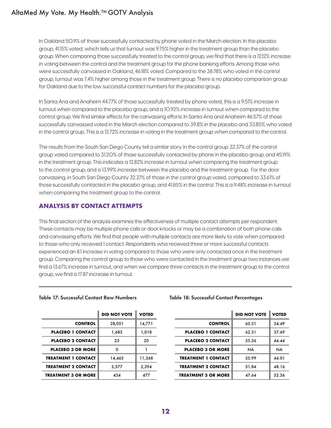# <span id="page-11-0"></span>AltaMed My Vote. My Health.<sup>™</sup> GOTV Analysis

In Oakland 50.9% of those successfully contacted by phone voted in the March election. In the placebo group, 41.15% voted, which tells us that turnout was 9.75% higher in the treatment group than the placebo group. When comparing those successfully treated to the control group, we find that there is a 12.12% increase in voting between the control and the treatment group for the phone banking efforts. Among those who were successfully canvassed in Oakland, 46.18% voted. Compared to the 38.78% who voted in the control group, turnout was 7.4% higher among those in the treatment group. There is no placebo comparison group for Oakland due to the low successful contact numbers for the placebo group.

In Santa Ana and Anaheim 44.77% of those successfully treated by phone voted, this is a 9.51% increase in turnout when compared to the placebo group, and a 10.92% increase in turnout when compared to the control group. We find similar effects for the canvassing efforts. In Santa Ana and Anaheim 46.57% of those successfully canvassed voted in the March election compared to 39.8% in the placebo and 33.85% who voted in the control group. This is a 12.72% increase in voting in the treatment group when compared to the control.

The results from the South San Diego County tell a similar story. In the control group 32.37% of the control group voted compared to 31.20% of those successfully contacted by phone in the placebo group, and 45.19% in the treatment group. This indicates a 12.82% increase in turnout when comparing the treatment group to the control group, and a 13.99% increase between the placebo and the treatment group. For the door canvassing, in South San Diego County 32.37% of those in the control group voted, compared to 33.61% of those successfully contacted in the placebo group, and 41.85% in the control. This is a 9.48% increase in turnout when comparing the treatment group to the control.

# **ANALYSIS BY CONTACT ATTEMPTS**

This final section of the analysis examines the effectiveness of multiple contact attempts per respondent. These contacts may be multiple phone calls or door knocks or may be a combination of both phone calls and canvassing efforts. We find that people with multiple contacts are more likely to vote when compared to those who only received 1 contact. Respondents who received three or more successful contacts experienced an 8.1 increase in voting compared to those who were only contacted once in the treatment group. Comparing the control group to those who were contacted in the treatment group two instances we find a 13.67% increase in turnout, and when we compare three contacts in the treatment group to the control group, we find a 17.87 increase in turnout.

|                            | <b>DID NOT VOTE</b> | <b>VOTED</b> |
|----------------------------|---------------------|--------------|
| <b>CONTROL</b>             | 28,051              | 14,771       |
| <b>PLACEBO 1 CONTACT</b>   | 1,683               | 1.018        |
| <b>PLACEBO 2 CONTACT</b>   | 25                  | 20           |
| <b>PLACEBO 3 OR MORE</b>   | O                   |              |
| <b>TREATMENT 1 CONTACT</b> | 14,463              | 11,368       |
| <b>TREATMENT 2 CONTACT</b> | 2.577               | 2.394        |
| <b>TREATMENT 3 OR MORE</b> | 434                 | 477          |

# Table 17: Successful Contact Raw Numbers Table 18: Successful Contact Percentages

|                            | <b>DID NOT VOTE</b> | <b>VOTED</b> |                            | <b>DID NOT VOTE</b> | <b>VOTED</b> |
|----------------------------|---------------------|--------------|----------------------------|---------------------|--------------|
| <b>CONTROL</b>             | 28,051              | 14,771       | <b>CONTROL</b>             | 65.51               | 34.49        |
| <b>PLACEBO 1 CONTACT</b>   | 1,683               | 1,018        | <b>PLACEBO 1 CONTACT</b>   | 62.31               | 37.69        |
| <b>PLACEBO 2 CONTACT</b>   | 25                  | 20           | <b>PLACEBO 2 CONTACT</b>   | 55.56               | 44.44        |
| <b>PLACEBO 3 OR MORE</b>   | 0                   |              | <b>PLACEBO 3 OR MORE</b>   | <b>NA</b>           | <b>NA</b>    |
| <b>TREATMENT 1 CONTACT</b> | 14,463              | 11,368       | <b>TREATMENT 1 CONTACT</b> | 55.99               | 44.01        |
| <b>TREATMENT 2 CONTACT</b> | 2.577               | 2.394        | <b>TREATMENT 2 CONTACT</b> | 51.84               | 48.16        |
| <b>TREATMENT 3 OR MORE</b> | 434                 | 477          | <b>TREATMENT 3 OR MORE</b> | 47.64               | 52.36        |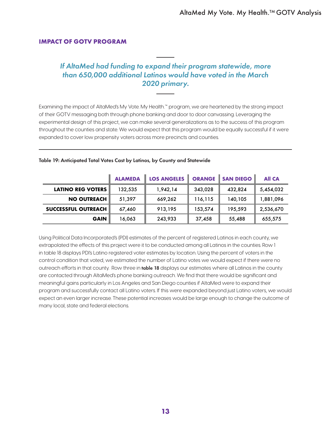# <span id="page-12-0"></span>**IMPACT OF GOTV PROGRAM**

# *If AltaMed had funding to expand their program statewide, more than 650,000 additional Latinos would have voted in the March 2020 primary.*

Examining the impact of AltaMed's My Vote. My Health.™ program, we are heartened by the strong impact of their GOTV messaging both through phone banking and door to door canvassing. Leveraging the experimental design of this project, we can make several generalizations as to the success of this program throughout the counties and state. We would expect that this program would be equally successful if it were expanded to cover low propensity voters across more precincts and counties.

|                            | <b>ALAMEDA</b> | <b>LOS ANGELES</b> |         | <b>ORANGE</b> SAN DIEGO | <b>All CA</b> |
|----------------------------|----------------|--------------------|---------|-------------------------|---------------|
| <b>LATINO REG VOTERS</b>   | 132,535        | 1,942,14           | 343,028 | 432,824                 | 5,454,032     |
| <b>NO OUTREACH</b>         | 51,397         | 669,262            | 116,115 | 140,105                 | 1,881,096     |
| <b>SUCCESSFUL OUTREACH</b> | 67,460         | 913,195            | 153,574 | 195,593                 | 2,536,670     |
| <b>GAIN</b>                | 16,063         | 243,933            | 37,458  | 55,488                  | 655,575       |

#### Table 19: Anticipated Total Votes Cast by Latinos, by County and Statewide

Using Political Data Incorporated's (PDI) estimates of the percent of registered Latinos in each county, we extrapolated the effects of this project were it to be conducted among all Latinos in the counties. Row 1 in table 18 displays PDI's Latino registered voter estimates by location. Using the percent of voters in the control condition that voted, we estimated the number of Latino votes we would expect if there were no outreach efforts in that county. Row three in table 18 displays our estimates where all Latinos in the county are contacted through AltaMed's phone banking outreach. We find that there would be significant and meaningful gains particularly in Los Angeles and San Diego counties if AltaMed were to expand their program and successfully contact all Latino voters. If this were expanded beyond just Latino voters, we would expect an even larger increase. These potential increases would be large enough to change the outcome of many local, state and federal elections.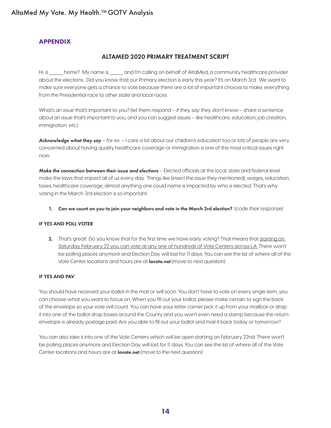# <span id="page-13-0"></span>AltaMed My Vote. My Health.<sup>™</sup> GOTV Analysis

# **APPENDIX**

# ALTAMED 2020 PRIMARY TREATMENT SCRIPT

Hi, is \_\_\_\_\_ home? My name is \_\_\_\_\_ and I'm calling on behalf of AltaMed, a community healthcare provider about the elections. Did you know that our Primary election is early this year? It's on March 3rd. We want to make sure everyone gets a chance to vote because there are a lot of important choices to make, everything from the Presidential race to other state and local races.

What's an issue that's important to you? *(let them respond – if they say they don't know – share a sentence about an issue that's important to you, and you can suggest issues – like healthcare, education, job creation, immigration, etc.)*

*Acknowledge what they say* – for ex. – I care a lot about our children's education too or lots of people are very concerned about having quality healthcare coverage or immigration is one of the most critical issues right now.

*Make the connection between their issue and elections* – Elected officials at the local, state and federal level make the laws that impact all of us every day. Things like (*insert the issue they mentioned*), wages, education, taxes, healthcare coverage, almost anything one could name is impacted by who is elected. That's why voting in the March 3rd election is so important.

1. Can we count on you to join your neighbors and vote in the March 3rd election? *(code their response)*

# IF YES AND POLL VOTER

2. That's great! Do you know that for the first time we have early voting? That means that starting on Saturday, February 22 you can vote at any one of hundreds of Vote Centers across LA. There won't be polling places anymore and Election Day will last for 11 days. You can see the list of where all of the Vote Center locations and hours are at lavote.net *(move to next question)*

# IF YES AND PAV

You should have received your ballot in the mail or will soon. You don't have to vote on every single item, you can choose what you want to focus on. When you fill out your ballot, please make certain to sign the back of the envelope so your vote will count. You can have your letter carrier pick it up from your mailbox or drop it into one of the ballot drop boxes around the County and you won't even need a stamp because the return envelope is already postage paid. Are you able to fill out your ballot and mail it back today or tomorrow?

You can also take it into one of the Vote Centers which will be open starting on February 22nd. There won't be polling places anymore and Election Day will last for 11 days. You can see the list of where all of the Vote Center locations and hours are at lavote.net *(move to the next question)*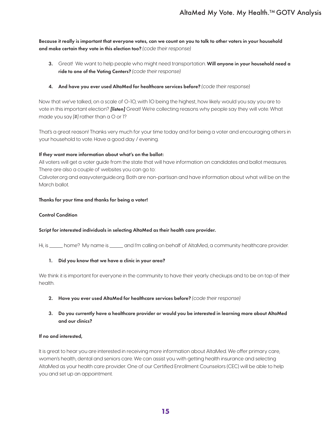Because it really is important that everyone votes, can we count on you to talk to other voters in your household and make certain they vote in this election too? *(code their response)*

- 3. Great! We want to help people who might need transportation. Will anyone in your household need a ride to one of the Voting Centers? *(code their response)*
- 4. And have you ever used AltaMed for healthcare services before? *(code their response)*

Now that we've talked, on a scale of 0-10, with 10 being the highest, how likely would you say you are to vote in this important election? *[listen]* Great! We're collecting reasons why people say they will vote. What made you say [#] rather than a O or 1?

That's a great reason! Thanks very much for your time today and for being a voter and encouraging others in your household to vote. Have a good day / evening.

### If they want more information about what's on the ballot:

All voters will get a voter guide from the state that will have information on candidates and ballot measures. There are also a couple of websites you can go to:

Calvoter.org and easyvoterguide.org. Both are non-partisan and have information about what will be on the March ballot.

#### Thanks for your time and thanks for being a voter!

#### Control Condition

#### Script for interested individuals in selecting AltaMed as their health care provider.

Hi, is \_\_\_\_ home? My name is \_\_\_\_\_ and I'm calling on behalf of AltaMed, a community healthcare provider.

#### 1. Did you know that we have a clinic in your area?

We think it is important for everyone in the community to have their yearly checkups and to be on top of their health.

- 2. Have you ever used AltaMed for healthcare services before? *(code their response)*
- 3. Do you currently have a healthcare provider or would you be interested in learning more about AltaMed and our clinics?

#### If no and interested,

It is great to hear you are interested in receiving more information about AltaMed. We offer primary care, women's health, dental and seniors care. We can assist you with getting health insurance and selecting AltaMed as your health care provider. One of our Certified Enrollment Counselors (CEC) will be able to help you and set up an appointment.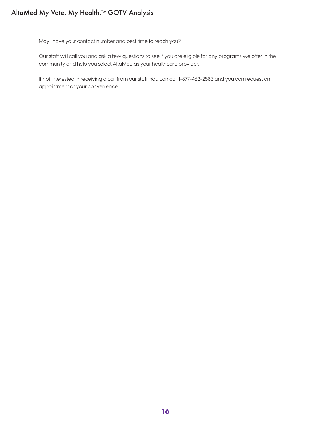# AltaMed My Vote. My Health.<sup>™</sup> GOTV Analysis

May I have your contact number and best time to reach you?

Our staff will call you and ask a few questions to see if you are eligible for any programs we offer in the community and help you select AltaMed as your healthcare provider.

If not interested in receiving a call from our staff. You can call 1-877-462-2583 and you can request an appointment at your convenience.